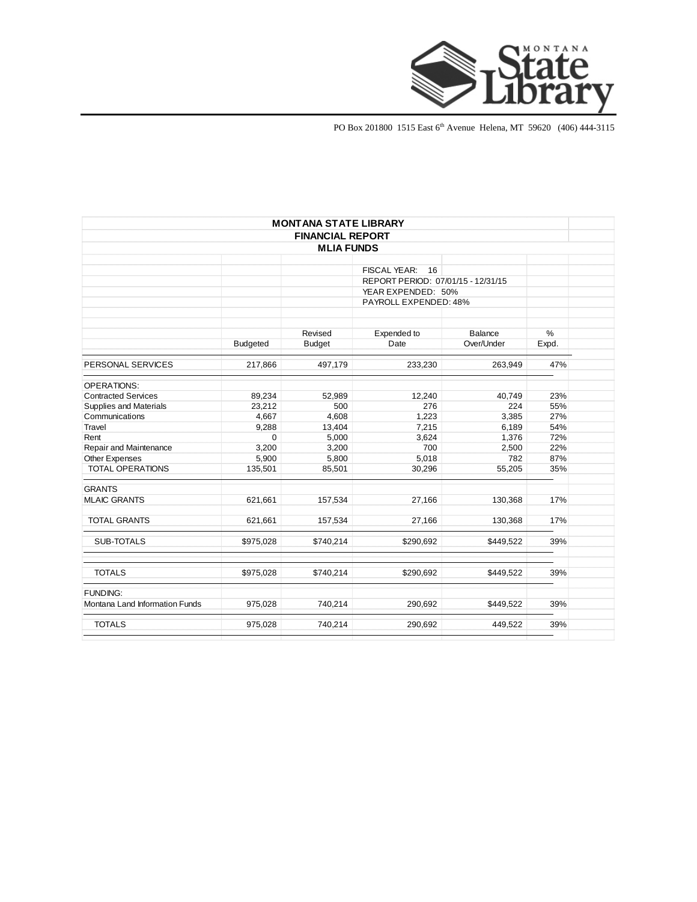

PO Box 201800 1515 East 6<sup>th</sup> Avenue Helena, MT 59620 (406) 444-3115

|                                |                 | <b>MONTANA STATE LIBRARY</b> |                                    |            |               |  |
|--------------------------------|-----------------|------------------------------|------------------------------------|------------|---------------|--|
|                                |                 | <b>FINANCIAL REPORT</b>      |                                    |            |               |  |
|                                |                 | <b>MLIA FUNDS</b>            |                                    |            |               |  |
|                                |                 |                              |                                    |            |               |  |
|                                |                 |                              | 16<br><b>FISCAL YEAR:</b>          |            |               |  |
|                                |                 |                              | REPORT PERIOD: 07/01/15 - 12/31/15 |            |               |  |
|                                |                 |                              | YEAR EXPENDED: 50%                 |            |               |  |
|                                |                 |                              | PAYROLL EXPENDED: 48%              |            |               |  |
|                                |                 |                              |                                    |            |               |  |
|                                |                 |                              |                                    |            |               |  |
|                                |                 | Revised                      | Expended to                        | Balance    | $\frac{0}{0}$ |  |
|                                | <b>Budgeted</b> | <b>Budget</b>                | Date                               | Over/Under | Expd.         |  |
| PERSONAL SERVICES              | 217,866         | 497,179                      | 233,230                            | 263,949    | 47%           |  |
| <b>OPERATIONS:</b>             |                 |                              |                                    |            |               |  |
| <b>Contracted Services</b>     | 89,234          | 52,989                       | 12,240                             | 40,749     | 23%           |  |
| Supplies and Materials         | 23,212          | 500                          | 276                                | 224        | 55%           |  |
| Communications                 | 4,667           | 4,608                        | 1,223                              | 3,385      | 27%           |  |
| Travel                         | 9,288           | 13,404                       | 7,215                              | 6,189      | 54%           |  |
| Rent                           | 0               | 5,000                        | 3,624                              | 1,376      | 72%           |  |
| Repair and Maintenance         | 3,200           | 3,200                        | 700                                | 2,500      | 22%           |  |
| Other Expenses                 | 5,900           | 5,800                        | 5,018                              | 782        | 87%           |  |
| <b>TOTAL OPERATIONS</b>        | 135,501         | 85,501                       | 30,296                             | 55,205     | 35%           |  |
| <b>GRANTS</b>                  |                 |                              |                                    |            |               |  |
| <b>MLAIC GRANTS</b>            | 621,661         | 157,534                      | 27,166                             | 130,368    | 17%           |  |
| <b>TOTAL GRANTS</b>            | 621,661         | 157,534                      | 27,166                             | 130,368    | 17%           |  |
| <b>SUB-TOTALS</b>              | \$975,028       | \$740,214                    | \$290,692                          | \$449,522  | 39%           |  |
| <b>TOTALS</b>                  | \$975,028       | \$740,214                    | \$290,692                          | \$449,522  | 39%           |  |
| <b>FUNDING:</b>                |                 |                              |                                    |            |               |  |
| Montana Land Information Funds | 975,028         | 740,214                      | 290,692                            | \$449,522  | 39%           |  |
| <b>TOTALS</b>                  | 975,028         | 740,214                      | 290,692                            | 449,522    | 39%           |  |
|                                |                 |                              |                                    |            |               |  |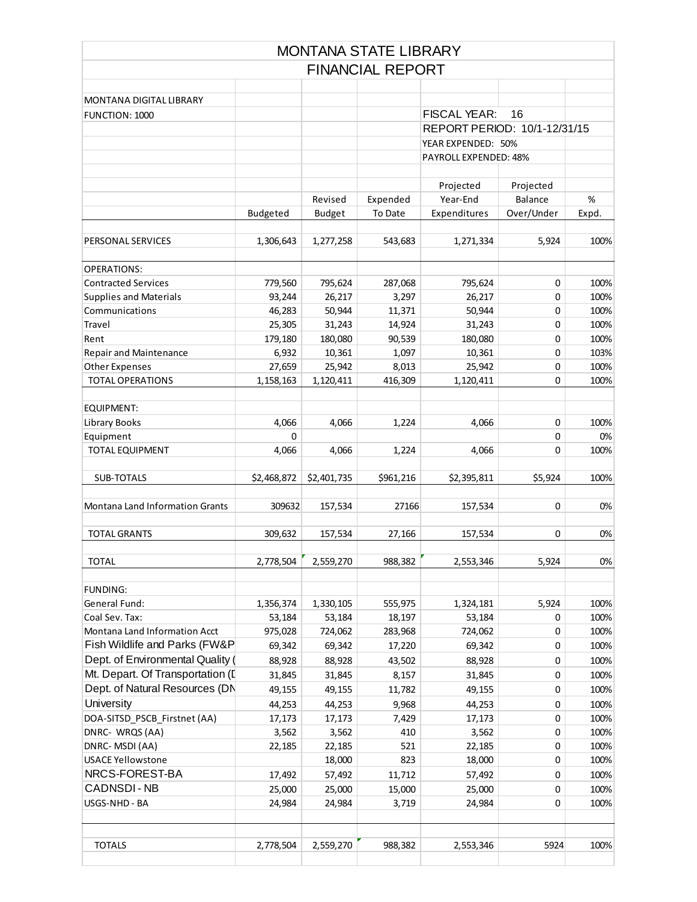|                                  |             |               | <b>MONTANA STATE LIBRARY</b> |                              |            |       |
|----------------------------------|-------------|---------------|------------------------------|------------------------------|------------|-------|
|                                  |             |               | <b>FINANCIAL REPORT</b>      |                              |            |       |
|                                  |             |               |                              |                              |            |       |
| <b>MONTANA DIGITAL LIBRARY</b>   |             |               |                              |                              |            |       |
| FUNCTION: 1000                   |             |               |                              | <b>FISCAL YEAR:</b>          | 16         |       |
|                                  |             |               |                              | REPORT PERIOD: 10/1-12/31/15 |            |       |
|                                  |             |               |                              | YEAR EXPENDED: 50%           |            |       |
|                                  |             |               |                              | PAYROLL EXPENDED: 48%        |            |       |
|                                  |             |               |                              | Projected                    | Projected  |       |
|                                  |             | Revised       | Expended                     | Year-End                     | Balance    | %     |
|                                  | Budgeted    | <b>Budget</b> | To Date                      | Expenditures                 | Over/Under | Expd. |
| PERSONAL SERVICES                | 1,306,643   | 1,277,258     | 543,683                      | 1,271,334                    | 5,924      | 100%  |
| <b>OPERATIONS:</b>               |             |               |                              |                              |            |       |
| <b>Contracted Services</b>       | 779,560     | 795,624       | 287,068                      | 795,624                      | 0          | 100%  |
| <b>Supplies and Materials</b>    | 93,244      | 26,217        | 3,297                        | 26,217                       | 0          | 100%  |
| Communications                   | 46,283      | 50,944        | 11,371                       | 50,944                       | 0          | 100%  |
| Travel                           | 25,305      | 31,243        | 14,924                       | 31,243                       | 0          | 100%  |
| Rent                             | 179,180     | 180,080       | 90,539                       | 180,080                      | 0          | 100%  |
| <b>Repair and Maintenance</b>    | 6,932       | 10,361        | 1,097                        | 10,361                       | 0          | 103%  |
| <b>Other Expenses</b>            | 27,659      | 25,942        | 8,013                        | 25,942                       | 0          | 100%  |
| <b>TOTAL OPERATIONS</b>          | 1,158,163   | 1,120,411     | 416,309                      | 1,120,411                    | 0          | 100%  |
|                                  |             |               |                              |                              |            |       |
| <b>EQUIPMENT:</b>                |             |               |                              |                              |            |       |
| Library Books                    | 4,066       | 4,066         | 1,224                        | 4,066                        | 0          | 100%  |
| Equipment                        | 0           |               |                              |                              | 0          | 0%    |
| <b>TOTAL EQUIPMENT</b>           | 4,066       | 4,066         | 1,224                        | 4,066                        | 0          | 100%  |
| SUB-TOTALS                       | \$2,468,872 | \$2,401,735   | \$961,216                    | \$2,395,811                  | \$5,924    | 100%  |
| Montana Land Information Grants  | 309632      | 157,534       | 27166                        | 157,534                      | 0          | 0%    |
| <b>TOTAL GRANTS</b>              | 309,632     | 157,534       | 27,166                       | 157,534                      | 0          | 0%    |
|                                  |             |               |                              |                              |            |       |
| <b>TOTAL</b>                     | 2,778,504   | 2,559,270     | 988,382                      | 2,553,346                    | 5,924      | 0%    |
| <b>FUNDING:</b>                  |             |               |                              |                              |            |       |
| General Fund:                    | 1,356,374   | 1,330,105     | 555,975                      | 1,324,181                    | 5,924      | 100%  |
| Coal Sev. Tax:                   | 53,184      | 53,184        | 18,197                       | 53,184                       | 0          | 100%  |
| Montana Land Information Acct    | 975,028     | 724,062       | 283,968                      | 724,062                      | 0          | 100%  |
| Fish Wildlife and Parks (FW&P    | 69,342      | 69,342        | 17,220                       | 69,342                       | 0          | 100%  |
| Dept. of Environmental Quality ( | 88,928      | 88,928        | 43,502                       | 88,928                       | $\pmb{0}$  | 100%  |
| Mt. Depart. Of Transportation (I | 31,845      | 31,845        | 8,157                        | 31,845                       | 0          | 100%  |
| Dept. of Natural Resources (DN   | 49,155      | 49,155        | 11,782                       | 49,155                       | 0          | 100%  |
| University                       | 44,253      | 44,253        | 9,968                        | 44,253                       | 0          | 100%  |
| DOA-SITSD_PSCB_Firstnet (AA)     | 17,173      | 17,173        | 7,429                        | 17,173                       | 0          | 100%  |
| DNRC- WRQS (AA)                  | 3,562       | 3,562         | 410                          | 3,562                        | 0          | 100%  |
| DNRC-MSDI (AA)                   | 22,185      | 22,185        | 521                          | 22,185                       | $\pmb{0}$  | 100%  |
| <b>USACE Yellowstone</b>         |             | 18,000        | 823                          | 18,000                       | $\pmb{0}$  | 100%  |
| NRCS-FOREST-BA                   | 17,492      | 57,492        | 11,712                       | 57,492                       | $\pmb{0}$  | 100%  |
| CADNSDI-NB                       | 25,000      | 25,000        | 15,000                       | 25,000                       | 0          | 100%  |
| USGS-NHD - BA                    | 24,984      | 24,984        | 3,719                        | 24,984                       | 0          | 100%  |
|                                  |             |               |                              |                              |            |       |
| <b>TOTALS</b>                    | 2,778,504   | 2,559,270     | 988,382                      | 2,553,346                    | 5924       | 100%  |
|                                  |             |               |                              |                              |            |       |